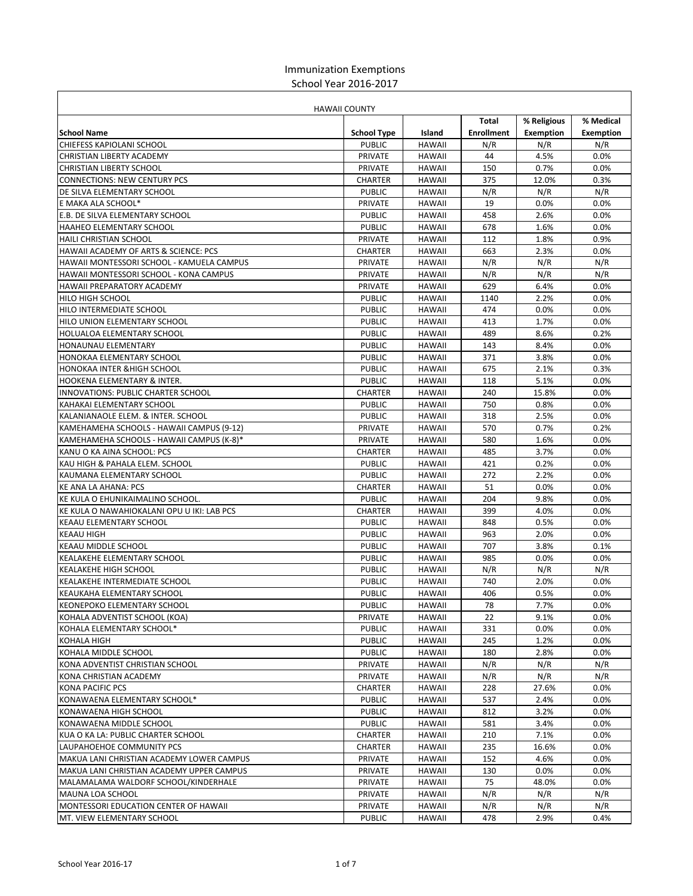## Immunization Exemptions School Year 2016-2017

|                                                                     | <b>HAWAII COUNTY</b>     |                  |                   |                  |                  |
|---------------------------------------------------------------------|--------------------------|------------------|-------------------|------------------|------------------|
|                                                                     |                          |                  | Total             | % Religious      | % Medical        |
| <b>School Name</b>                                                  | <b>School Type</b>       | Island           | <b>Enrollment</b> | <b>Exemption</b> | <b>Exemption</b> |
| CHIEFESS KAPIOLANI SCHOOL                                           | <b>PUBLIC</b>            | <b>HAWAII</b>    | N/R               | N/R              | N/R              |
| CHRISTIAN LIBERTY ACADEMY                                           | <b>PRIVATE</b>           | <b>HAWAII</b>    | 44                | 4.5%             | 0.0%             |
| <b>CHRISTIAN LIBERTY SCHOOL</b>                                     | <b>PRIVATE</b>           | <b>HAWAII</b>    | 150               | 0.7%             | 0.0%             |
| <b>CONNECTIONS: NEW CENTURY PCS</b>                                 | <b>CHARTER</b>           | <b>HAWAII</b>    | 375               | 12.0%            | 0.3%             |
| DE SILVA ELEMENTARY SCHOOL                                          | <b>PUBLIC</b>            | <b>HAWAII</b>    | N/R               | N/R              | N/R              |
| E MAKA ALA SCHOOL*                                                  | <b>PRIVATE</b>           | <b>HAWAII</b>    | 19                | $0.0\%$          | 0.0%             |
| E.B. DE SILVA ELEMENTARY SCHOOL                                     | <b>PUBLIC</b>            | <b>HAWAII</b>    | 458               | 2.6%             | 0.0%             |
| <b>HAAHEO ELEMENTARY SCHOOL</b>                                     | <b>PUBLIC</b>            | <b>HAWAII</b>    | 678               | 1.6%             | 0.0%             |
| <b>HAILI CHRISTIAN SCHOOL</b>                                       | <b>PRIVATE</b>           | <b>HAWAII</b>    | 112               | 1.8%             | 0.9%             |
| HAWAII ACADEMY OF ARTS & SCIENCE: PCS                               | <b>CHARTER</b>           | <b>HAWAII</b>    | 663               | 2.3%             | 0.0%             |
| HAWAII MONTESSORI SCHOOL - KAMUELA CAMPUS                           | <b>PRIVATE</b>           | <b>HAWAII</b>    | N/R               | N/R              | N/R              |
| HAWAII MONTESSORI SCHOOL - KONA CAMPUS                              | <b>PRIVATE</b>           | <b>HAWAII</b>    | N/R               | N/R              | N/R              |
| <b>HAWAII PREPARATORY ACADEMY</b>                                   | <b>PRIVATE</b>           | <b>HAWAII</b>    | 629               | 6.4%             | 0.0%             |
| <b>HILO HIGH SCHOOL</b>                                             | <b>PUBLIC</b>            | <b>HAWAII</b>    | 1140              | 2.2%             | 0.0%             |
| HILO INTERMEDIATE SCHOOL                                            | <b>PUBLIC</b>            | <b>HAWAII</b>    | 474               | 0.0%             | 0.0%             |
| HILO UNION ELEMENTARY SCHOOL                                        | <b>PUBLIC</b>            | <b>HAWAII</b>    | 413               | 1.7%             | 0.0%             |
| HOLUALOA ELEMENTARY SCHOOL                                          | <b>PUBLIC</b>            | <b>HAWAII</b>    | 489               | 8.6%             | 0.2%             |
| <b>HONAUNAU ELEMENTARY</b>                                          | <b>PUBLIC</b>            | <b>HAWAII</b>    | 143               | 8.4%             | 0.0%             |
| <b>HONOKAA ELEMENTARY SCHOOL</b>                                    | <b>PUBLIC</b>            | <b>HAWAII</b>    | 371               | 3.8%             | 0.0%             |
| <b>HONOKAA INTER &amp; HIGH SCHOOL</b>                              | <b>PUBLIC</b>            | <b>HAWAII</b>    | 675               | 2.1%             | 0.3%             |
| <b>HOOKENA ELEMENTARY &amp; INTER.</b>                              | <b>PUBLIC</b>            | <b>HAWAII</b>    | 118               | 5.1%             | 0.0%             |
| <b>INNOVATIONS: PUBLIC CHARTER SCHOOL</b>                           | <b>CHARTER</b>           | <b>HAWAII</b>    | 240               | 15.8%            | 0.0%             |
| KAHAKAI ELEMENTARY SCHOOL                                           | <b>PUBLIC</b>            | <b>HAWAII</b>    | 750               | 0.8%             | 0.0%             |
| KALANIANAOLE ELEM. & INTER. SCHOOL                                  | <b>PUBLIC</b>            | <b>HAWAII</b>    | 318               | 2.5%             | 0.0%             |
| KAMEHAMEHA SCHOOLS - HAWAII CAMPUS (9-12)                           | <b>PRIVATE</b>           | <b>HAWAII</b>    | 570               | 0.7%             | 0.2%             |
| KAMEHAMEHA SCHOOLS - HAWAII CAMPUS (K-8)*                           | <b>PRIVATE</b>           | <b>HAWAII</b>    | 580               | 1.6%             | 0.0%             |
| KANU O KA AINA SCHOOL: PCS                                          | <b>CHARTER</b>           | <b>HAWAII</b>    | 485               | 3.7%             | 0.0%             |
| KAU HIGH & PAHALA ELEM. SCHOOL                                      | <b>PUBLIC</b>            | <b>HAWAII</b>    | 421               | 0.2%             | 0.0%             |
| KAUMANA ELEMENTARY SCHOOL                                           | <b>PUBLIC</b>            | <b>HAWAII</b>    | 272               | 2.2%             | 0.0%             |
| <b>KE ANA LA AHANA: PCS</b>                                         | <b>CHARTER</b>           | <b>HAWAII</b>    | 51                | 0.0%             | 0.0%             |
| KE KULA O EHUNIKAIMALINO SCHOOL.                                    | <b>PUBLIC</b>            | <b>HAWAII</b>    | 204               | 9.8%             | 0.0%             |
| KE KULA O NAWAHIOKALANI OPU U IKI: LAB PCS                          | <b>CHARTER</b>           | <b>HAWAII</b>    | 399               | 4.0%             | 0.0%             |
| <b>KEAAU ELEMENTARY SCHOOL</b>                                      | <b>PUBLIC</b>            | <b>HAWAII</b>    | 848               | 0.5%             | 0.0%             |
| <b>KEAAU HIGH</b>                                                   | <b>PUBLIC</b>            | <b>HAWAII</b>    | 963               | 2.0%             | 0.0%             |
| KEAAU MIDDLE SCHOOL                                                 | <b>PUBLIC</b>            | <b>HAWAII</b>    | 707               | 3.8%             | 0.1%             |
| KEALAKEHE ELEMENTARY SCHOOL                                         | <b>PUBLIC</b>            | <b>HAWAII</b>    | 985               | 0.0%             | 0.0%             |
| <b>KEALAKEHE HIGH SCHOOL</b>                                        | <b>PUBLIC</b>            | <b>HAWAII</b>    | N/R               | N/R              | N/R              |
| <b>KEALAKEHE INTERMEDIATE SCHOOL</b>                                | <b>PUBLIC</b>            | <b>HAWAII</b>    | 740               | 2.0%             | 0.0%             |
| KEAUKAHA ELEMENTARY SCHOOL                                          | <b>PUBLIC</b>            | <b>HAWAII</b>    | 406               | 0.5%             | 0.0%             |
| KEONEPOKO ELEMENTARY SCHOOL                                         | <b>PUBLIC</b>            | <b>HAWAII</b>    | 78                | 7.7%             | 0.0%             |
| KOHALA ADVENTIST SCHOOL (KOA)                                       | PRIVATE                  | HAWAII           | 22                | 9.1%             | 0.0%             |
| KOHALA ELEMENTARY SCHOOL*                                           | <b>PUBLIC</b>            | <b>HAWAII</b>    | 331               | 0.0%             | 0.0%             |
| KOHALA HIGH                                                         | <b>PUBLIC</b>            | HAWAII           | 245               | 1.2%             | 0.0%             |
| KOHALA MIDDLE SCHOOL                                                | <b>PUBLIC</b>            | HAWAII           | 180               | 2.8%             | 0.0%             |
| KONA ADVENTIST CHRISTIAN SCHOOL                                     | PRIVATE                  | HAWAII           | N/R               | N/R              | N/R              |
| KONA CHRISTIAN ACADEMY                                              | PRIVATE                  | <b>HAWAII</b>    | N/R               | N/R              | N/R              |
| <b>KONA PACIFIC PCS</b>                                             | CHARTER                  | HAWAII           | 228               | 27.6%            | $0.0\%$          |
| KONAWAENA ELEMENTARY SCHOOL*                                        | <b>PUBLIC</b>            | HAWAII           | 537               | 2.4%             | 0.0%             |
| KONAWAENA HIGH SCHOOL                                               | <b>PUBLIC</b>            | HAWAII           | 812               | 3.2%             | 0.0%             |
| KONAWAENA MIDDLE SCHOOL                                             | <b>PUBLIC</b>            | HAWAII           | 581               | 3.4%             | 0.0%             |
| KUA O KA LA: PUBLIC CHARTER SCHOOL                                  | CHARTER                  | HAWAII           | 210               | 7.1%             | $0.0\%$          |
| LAUPAHOEHOE COMMUNITY PCS                                           | CHARTER                  | HAWAII           | 235               | 16.6%            | 0.0%             |
| MAKUA LANI CHRISTIAN ACADEMY LOWER CAMPUS                           | PRIVATE                  | HAWAII           | 152               | 4.6%             | 0.0%             |
| MAKUA LANI CHRISTIAN ACADEMY UPPER CAMPUS                           | PRIVATE                  | HAWAII           | 130               | 0.0%             | 0.0%             |
| MALAMALAMA WALDORF SCHOOL/KINDERHALE                                | PRIVATE                  | HAWAII           | 75                | 48.0%            | $0.0\%$          |
|                                                                     |                          |                  |                   |                  |                  |
| MAUNA LOA SCHOOL                                                    | PRIVATE                  | HAWAII           | N/R<br>N/R        | N/R              | N/R<br>N/R       |
| MONTESSORI EDUCATION CENTER OF HAWAII<br>MT. VIEW ELEMENTARY SCHOOL | PRIVATE<br><b>PUBLIC</b> | HAWAII<br>HAWAII | 478               | N/R<br>2.9%      | 0.4%             |
|                                                                     |                          |                  |                   |                  |                  |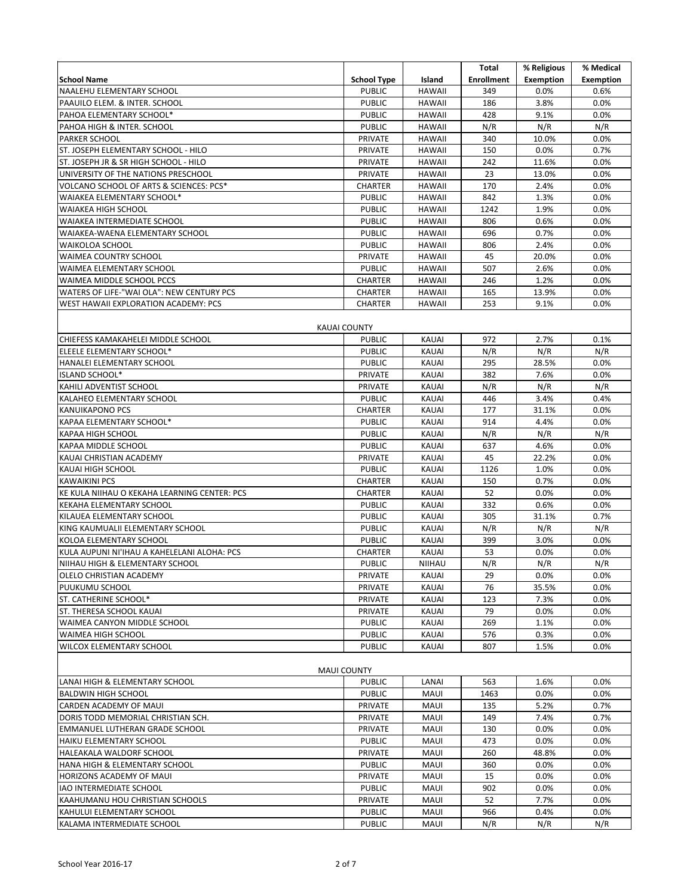|                                                                        |                                 |                       | Total             | % Religious      | % Medical        |
|------------------------------------------------------------------------|---------------------------------|-----------------------|-------------------|------------------|------------------|
| <b>School Name</b>                                                     | <b>School Type</b>              | Island                | <b>Enrollment</b> | <b>Exemption</b> | <b>Exemption</b> |
| NAALEHU ELEMENTARY SCHOOL                                              | <b>PUBLIC</b>                   | <b>HAWAII</b>         | 349               | 0.0%             | 0.6%             |
| PAAUILO ELEM. & INTER. SCHOOL                                          | <b>PUBLIC</b>                   | <b>HAWAII</b>         | 186               | 3.8%             | 0.0%             |
| PAHOA ELEMENTARY SCHOOL*                                               | <b>PUBLIC</b>                   | <b>HAWAII</b>         | 428               | 9.1%             | 0.0%             |
| PAHOA HIGH & INTER. SCHOOL                                             | <b>PUBLIC</b>                   | <b>HAWAII</b>         | N/R               | N/R              | N/R              |
| <b>PARKER SCHOOL</b>                                                   | <b>PRIVATE</b>                  | <b>HAWAII</b>         | 340               | 10.0%            | 0.0%             |
| ST. JOSEPH ELEMENTARY SCHOOL - HILO                                    | <b>PRIVATE</b>                  | <b>HAWAII</b>         | 150               | 0.0%             | 0.7%             |
| ST. JOSEPH JR & SR HIGH SCHOOL - HILO                                  | PRIVATE                         | <b>HAWAII</b>         | 242               | 11.6%            | 0.0%             |
| UNIVERSITY OF THE NATIONS PRESCHOOL                                    | <b>PRIVATE</b>                  | <b>HAWAII</b>         | 23                | 13.0%            | 0.0%             |
| VOLCANO SCHOOL OF ARTS & SCIENCES: PCS*                                | <b>CHARTER</b>                  | <b>HAWAII</b>         | 170               | 2.4%             | 0.0%             |
| WAIAKEA ELEMENTARY SCHOOL*                                             | <b>PUBLIC</b>                   | <b>HAWAII</b>         | 842               | 1.3%             | 0.0%             |
| <b>WAIAKEA HIGH SCHOOL</b>                                             | <b>PUBLIC</b>                   | <b>HAWAII</b>         | 1242              | 1.9%             | 0.0%             |
| WAIAKEA INTERMEDIATE SCHOOL                                            | <b>PUBLIC</b>                   | <b>HAWAII</b>         | 806               | 0.6%             | 0.0%             |
| WAIAKEA-WAENA ELEMENTARY SCHOOL                                        | <b>PUBLIC</b>                   | <b>HAWAII</b>         | 696               | 0.7%             | 0.0%             |
| <b>WAIKOLOA SCHOOL</b>                                                 | <b>PUBLIC</b>                   | <b>HAWAII</b>         | 806               | 2.4%             | 0.0%             |
| WAIMEA COUNTRY SCHOOL                                                  | PRIVATE                         | <b>HAWAII</b>         | 45                | 20.0%            | 0.0%             |
| WAIMEA ELEMENTARY SCHOOL                                               | <b>PUBLIC</b>                   | <b>HAWAII</b>         | 507               | 2.6%             | 0.0%             |
| WAIMEA MIDDLE SCHOOL PCCS                                              | <b>CHARTER</b>                  | <b>HAWAII</b>         | 246               | 1.2%             | 0.0%             |
| WATERS OF LIFE-"WAI OLA": NEW CENTURY PCS                              | CHARTER                         | <b>HAWAII</b>         | 165               | 13.9%            | 0.0%             |
| WEST HAWAII EXPLORATION ACADEMY: PCS                                   | CHARTER                         | <b>HAWAII</b>         | 253               | 9.1%             | 0.0%             |
|                                                                        |                                 |                       |                   |                  |                  |
|                                                                        | <b>KAUAI COUNTY</b>             |                       |                   |                  |                  |
| CHIEFESS KAMAKAHELEI MIDDLE SCHOOL                                     | <b>PUBLIC</b>                   | <b>KAUAI</b>          | 972               | 2.7%             | 0.1%             |
| ELEELE ELEMENTARY SCHOOL*                                              | <b>PUBLIC</b>                   | <b>KAUAI</b>          | N/R               | N/R              | N/R              |
| HANALEI ELEMENTARY SCHOOL                                              | <b>PUBLIC</b>                   | <b>KAUAI</b>          | 295               | 28.5%            | 0.0%             |
| <b>ISLAND SCHOOL*</b>                                                  | PRIVATE                         | <b>KAUAI</b>          | 382               | 7.6%             | 0.0%             |
| KAHILI ADVENTIST SCHOOL                                                | PRIVATE                         | KAUAI                 | N/R               | N/R              | N/R              |
| KALAHEO ELEMENTARY SCHOOL                                              | <b>PUBLIC</b>                   | <b>KAUAI</b>          | 446               | 3.4%             | 0.4%             |
| <b>KANUIKAPONO PCS</b>                                                 | <b>CHARTER</b>                  | <b>KAUAI</b>          | 177               | 31.1%            | 0.0%             |
| KAPAA ELEMENTARY SCHOOL*                                               | <b>PUBLIC</b>                   | KAUAI                 | 914               | 4.4%             | 0.0%             |
| <b>KAPAA HIGH SCHOOL</b>                                               | <b>PUBLIC</b>                   | KAUAI                 | N/R               | N/R              | N/R              |
| KAPAA MIDDLE SCHOOL                                                    | <b>PUBLIC</b>                   | KAUAI                 | 637               | 4.6%             | 0.0%             |
| KAUAI CHRISTIAN ACADEMY                                                | PRIVATE                         | <b>KAUAI</b>          | 45                | 22.2%            | 0.0%             |
| KAUAI HIGH SCHOOL                                                      | <b>PUBLIC</b>                   | <b>KAUAI</b>          | 1126              | 1.0%             | 0.0%             |
| <b>KAWAIKINI PCS</b>                                                   | <b>CHARTER</b>                  | KAUAI                 | 150               | 0.7%             | 0.0%             |
| KE KULA NIIHAU O KEKAHA LEARNING CENTER: PCS                           | <b>CHARTER</b>                  | <b>KAUAI</b>          | 52                | 0.0%             | 0.0%             |
| KEKAHA ELEMENTARY SCHOOL                                               | <b>PUBLIC</b>                   | <b>KAUAI</b>          | 332               | 0.6%             | 0.0%             |
| KILAUEA ELEMENTARY SCHOOL                                              | <b>PUBLIC</b>                   | KAUAI                 | 305               | 31.1%            | 0.7%             |
| KING KAUMUALII ELEMENTARY SCHOOL                                       | <b>PUBLIC</b>                   | <b>KAUAI</b>          | N/R               | N/R              | N/R<br>0.0%      |
| KOLOA ELEMENTARY SCHOOL<br>KULA AUPUNI NI'IHAU A KAHELELANI ALOHA: PCS | <b>PUBLIC</b><br><b>CHARTER</b> | KAUAI<br><b>KAUAI</b> | 399<br>53         | 3.0%<br>0.0%     | 0.0%             |
| NIIHAU HIGH & ELEMENTARY SCHOOL                                        | <b>PUBLIC</b>                   | NIIHAU                | N/R               | N/R              | N/R              |
| OLELO CHRISTIAN ACADEMY                                                | PRIVATE                         | <b>KAUAI</b>          | 29                | 0.0%             | 0.0%             |
| PUUKUMU SCHOOL                                                         | PRIVATE                         | KAUAI                 | 76                | 35.5%            | 0.0%             |
| ST. CATHERINE SCHOOL*                                                  | PRIVATE                         | <b>KAUAI</b>          | 123               | 7.3%             | 0.0%             |
| ST. THERESA SCHOOL KAUAI                                               | PRIVATE                         | KAUAI                 | 79                | 0.0%             | 0.0%             |
| WAIMEA CANYON MIDDLE SCHOOL                                            | <b>PUBLIC</b>                   | KAUAI                 | 269               | 1.1%             | 0.0%             |
| <b>WAIMEA HIGH SCHOOL</b>                                              | <b>PUBLIC</b>                   | KAUAI                 | 576               | 0.3%             | 0.0%             |
| WILCOX ELEMENTARY SCHOOL                                               | <b>PUBLIC</b>                   | KAUAI                 | 807               | 1.5%             | 0.0%             |
|                                                                        |                                 |                       |                   |                  |                  |
|                                                                        | <b>MAUI COUNTY</b>              |                       |                   |                  |                  |
| LANAI HIGH & ELEMENTARY SCHOOL                                         | <b>PUBLIC</b>                   | LANAI                 | 563               | 1.6%             | 0.0%             |
| <b>BALDWIN HIGH SCHOOL</b>                                             | <b>PUBLIC</b>                   | <b>MAUI</b>           | 1463              | 0.0%             | 0.0%             |
| CARDEN ACADEMY OF MAUI                                                 | PRIVATE                         | MAUI                  | 135               | 5.2%             | 0.7%             |
| DORIS TODD MEMORIAL CHRISTIAN SCH.                                     | PRIVATE                         | MAUI                  | 149               | 7.4%             | 0.7%             |
| EMMANUEL LUTHERAN GRADE SCHOOL                                         | PRIVATE                         | <b>MAUI</b>           | 130               | 0.0%             | 0.0%             |
| HAIKU ELEMENTARY SCHOOL                                                | <b>PUBLIC</b>                   | <b>MAUI</b>           | 473               | $0.0\%$          | $0.0\%$          |
| HALEAKALA WALDORF SCHOOL                                               | PRIVATE                         | <b>MAUI</b>           | 260               | 48.8%            | $0.0\%$          |
| HANA HIGH & ELEMENTARY SCHOOL                                          | <b>PUBLIC</b>                   | MAUI                  | 360               | 0.0%             | 0.0%             |
| HORIZONS ACADEMY OF MAUI                                               | PRIVATE                         | <b>MAUI</b>           | 15                | 0.0%             | 0.0%             |
| <b>IAO INTERMEDIATE SCHOOL</b>                                         | <b>PUBLIC</b>                   | MAUI                  | 902               | 0.0%             | 0.0%             |
| KAAHUMANU HOU CHRISTIAN SCHOOLS                                        | PRIVATE                         | MAUI                  | 52                | 7.7%             | $0.0\%$          |
| KAHULUI ELEMENTARY SCHOOL                                              | <b>PUBLIC</b>                   | MAUI                  | 966               | 0.4%             | $0.0\%$          |
| KALAMA INTERMEDIATE SCHOOL                                             | <b>PUBLIC</b>                   | MAUI                  | N/R               | N/R              | N/R              |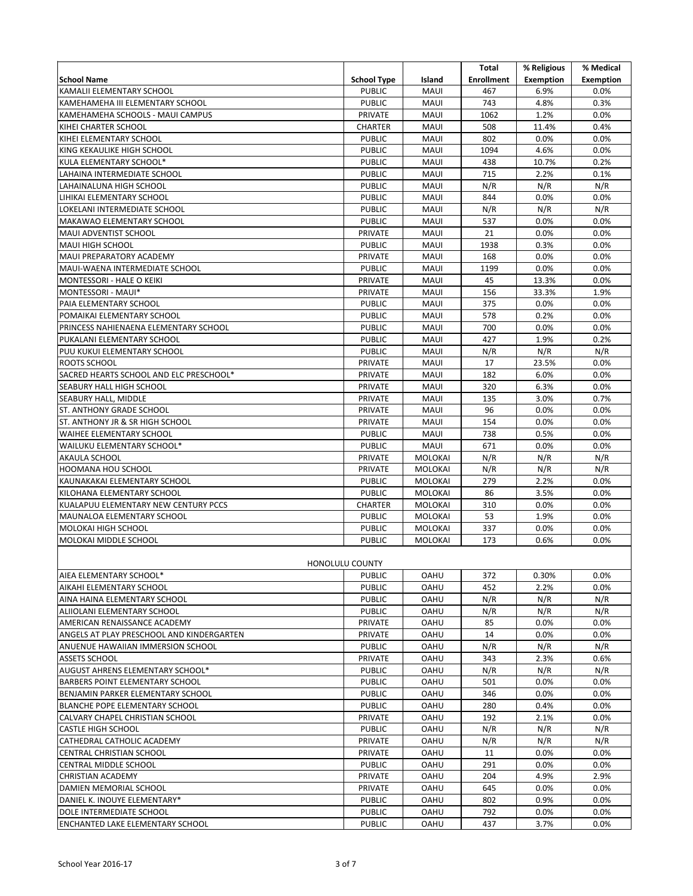|                                           |                        |                | Total             | % Religious      | % Medical        |
|-------------------------------------------|------------------------|----------------|-------------------|------------------|------------------|
|                                           |                        |                |                   |                  |                  |
| <b>School Name</b>                        | <b>School Type</b>     | Island         | <b>Enrollment</b> | <b>Exemption</b> | <b>Exemption</b> |
| KAMALII ELEMENTARY SCHOOL                 | <b>PUBLIC</b>          | <b>MAUI</b>    | 467               | 6.9%             | 0.0%             |
| KAMEHAMEHA III ELEMENTARY SCHOOL          | <b>PUBLIC</b>          | <b>MAUI</b>    | 743               | 4.8%             | 0.3%             |
| KAMEHAMEHA SCHOOLS - MAUI CAMPUS          | PRIVATE                | <b>MAUI</b>    | 1062              | 1.2%             | 0.0%             |
| KIHEI CHARTER SCHOOL                      | <b>CHARTER</b>         | MAUI           | 508               | 11.4%            | 0.4%             |
| KIHEI ELEMENTARY SCHOOL                   | <b>PUBLIC</b>          | MAUI           | 802               | 0.0%             | 0.0%             |
| KING KEKAULIKE HIGH SCHOOL                | <b>PUBLIC</b>          | <b>MAUI</b>    | 1094              | 4.6%             | 0.0%             |
| KULA ELEMENTARY SCHOOL*                   | <b>PUBLIC</b>          | MAUI           | 438               | 10.7%            | 0.2%             |
| LAHAINA INTERMEDIATE SCHOOL               | <b>PUBLIC</b>          | MAUI           | 715               | 2.2%             | 0.1%             |
| LAHAINALUNA HIGH SCHOOL                   | <b>PUBLIC</b>          | MAUI           | N/R               | N/R              | N/R              |
| LIHIKAI ELEMENTARY SCHOOL                 | <b>PUBLIC</b>          | MAUI           | 844               | 0.0%             | 0.0%             |
| LOKELANI INTERMEDIATE SCHOOL              | <b>PUBLIC</b>          | MAUI           | N/R               | N/R              | N/R              |
| MAKAWAO ELEMENTARY SCHOOL                 | <b>PUBLIC</b>          | MAUI           | 537               | 0.0%             | 0.0%             |
| MAUI ADVENTIST SCHOOL                     | <b>PRIVATE</b>         | <b>MAUI</b>    | 21                | 0.0%             | 0.0%             |
|                                           |                        |                |                   |                  |                  |
| MAUI HIGH SCHOOL                          | <b>PUBLIC</b>          | MAUI           | 1938              | 0.3%             | 0.0%             |
| MAUI PREPARATORY ACADEMY                  | <b>PRIVATE</b>         | MAUI           | 168               | 0.0%             | 0.0%             |
| MAUI-WAENA INTERMEDIATE SCHOOL            | <b>PUBLIC</b>          | MAUI           | 1199              | 0.0%             | 0.0%             |
| MONTESSORI - HALE O KEIKI                 | PRIVATE                | MAUI           | 45                | 13.3%            | 0.0%             |
| MONTESSORI - MAUI*                        | PRIVATE                | MAUI           | 156               | 33.3%            | 1.9%             |
| PAIA ELEMENTARY SCHOOL                    | <b>PUBLIC</b>          | MAUI           | 375               | 0.0%             | 0.0%             |
| POMAIKAI ELEMENTARY SCHOOL                | <b>PUBLIC</b>          | MAUI           | 578               | 0.2%             | 0.0%             |
| PRINCESS NAHIENAENA ELEMENTARY SCHOOL     | <b>PUBLIC</b>          | <b>MAUI</b>    | 700               | 0.0%             | 0.0%             |
| PUKALANI ELEMENTARY SCHOOL                | <b>PUBLIC</b>          | MAUI           | 427               | 1.9%             | 0.2%             |
| PUU KUKUI ELEMENTARY SCHOOL               | <b>PUBLIC</b>          | <b>MAUI</b>    | N/R               | N/R              | N/R              |
| ROOTS SCHOOL                              | <b>PRIVATE</b>         | MAUI           | 17                | 23.5%            | 0.0%             |
| SACRED HEARTS SCHOOL AND ELC PRESCHOOL*   | PRIVATE                | MAUI           | 182               | 6.0%             | 0.0%             |
| SEABURY HALL HIGH SCHOOL                  | PRIVATE                | MAUI           | 320               | 6.3%             | 0.0%             |
| SEABURY HALL, MIDDLE                      | PRIVATE                | MAUI           | 135               | 3.0%             | 0.7%             |
| <b>ST. ANTHONY GRADE SCHOOL</b>           | PRIVATE                | MAUI           | 96                | 0.0%             | 0.0%             |
|                                           |                        |                |                   |                  |                  |
| ST. ANTHONY JR & SR HIGH SCHOOL           | PRIVATE                | <b>MAUI</b>    | 154               | 0.0%             | 0.0%             |
| <b>WAIHEE ELEMENTARY SCHOOL</b>           | <b>PUBLIC</b>          | MAUI           | 738               | 0.5%             | 0.0%             |
| WAILUKU ELEMENTARY SCHOOL*                | <b>PUBLIC</b>          | MAUI           | 671               | 0.0%             | 0.0%             |
| AKAULA SCHOOL                             | <b>PRIVATE</b>         | <b>MOLOKAI</b> | N/R               | N/R              | N/R              |
| <b>HOOMANA HOU SCHOOL</b>                 | <b>PRIVATE</b>         | MOLOKAI        | N/R               | N/R              | N/R              |
| KAUNAKAKAI ELEMENTARY SCHOOL              | <b>PUBLIC</b>          | MOLOKAI        | 279               | 2.2%             | 0.0%             |
| KILOHANA ELEMENTARY SCHOOL                | <b>PUBLIC</b>          | MOLOKAI        | 86                | 3.5%             | 0.0%             |
| KUALAPUU ELEMENTARY NEW CENTURY PCCS      | <b>CHARTER</b>         | MOLOKAI        | 310               | 0.0%             | 0.0%             |
| MAUNALOA ELEMENTARY SCHOOL                | <b>PUBLIC</b>          | <b>MOLOKAI</b> | 53                | 1.9%             | 0.0%             |
| <b>MOLOKAI HIGH SCHOOL</b>                | <b>PUBLIC</b>          | MOLOKAI        | 337               | 0.0%             | 0.0%             |
| MOLOKAI MIDDLE SCHOOL                     | <b>PUBLIC</b>          | MOLOKAI        | 173               | 0.6%             | 0.0%             |
|                                           |                        |                |                   |                  |                  |
|                                           | <b>HONOLULU COUNTY</b> |                |                   |                  |                  |
| AIEA ELEMENTARY SCHOOL*                   | <b>PUBLIC</b>          | OAHU           | 372               | 0.30%            | 0.0%             |
| AIKAHI ELEMENTARY SCHOOL                  | <b>PUBLIC</b>          | <b>OAHU</b>    | 452               | 2.2%             | 0.0%             |
| AINA HAINA ELEMENTARY SCHOOL              | <b>PUBLIC</b>          | <b>OAHU</b>    | N/R               | N/R              | N/R              |
|                                           |                        |                |                   |                  |                  |
| ALIIOLANI ELEMENTARY SCHOOL               | <b>PUBLIC</b>          | <b>OAHU</b>    | N/R               | N/R              | N/R              |
| AMERICAN RENAISSANCE ACADEMY              | PRIVATE                | <b>OAHU</b>    | 85                | 0.0%             | 0.0%             |
| ANGELS AT PLAY PRESCHOOL AND KINDERGARTEN | PRIVATE                | <b>OAHU</b>    | 14                | 0.0%             | 0.0%             |
| ANUENUE HAWAIIAN IMMERSION SCHOOL         | <b>PUBLIC</b>          | <b>OAHU</b>    | N/R               | N/R              | N/R              |
| <b>ASSETS SCHOOL</b>                      | PRIVATE                | OAHU           | 343               | 2.3%             | 0.6%             |
| AUGUST AHRENS ELEMENTARY SCHOOL*          | <b>PUBLIC</b>          | <b>OAHU</b>    | N/R               | N/R              | N/R              |
| <b>BARBERS POINT ELEMENTARY SCHOOL</b>    | <b>PUBLIC</b>          | <b>OAHU</b>    | 501               | 0.0%             | 0.0%             |
| BENJAMIN PARKER ELEMENTARY SCHOOL         | <b>PUBLIC</b>          | <b>OAHU</b>    | 346               | 0.0%             | 0.0%             |
| BLANCHE POPE ELEMENTARY SCHOOL            | <b>PUBLIC</b>          | <b>OAHU</b>    | 280               | 0.4%             | 0.0%             |
| CALVARY CHAPEL CHRISTIAN SCHOOL           | PRIVATE                | <b>OAHU</b>    | 192               | 2.1%             | 0.0%             |
| <b>CASTLE HIGH SCHOOL</b>                 | <b>PUBLIC</b>          | <b>OAHU</b>    | N/R               | N/R              | N/R              |
| CATHEDRAL CATHOLIC ACADEMY                | PRIVATE                | <b>OAHU</b>    | N/R               | N/R              | N/R              |
| CENTRAL CHRISTIAN SCHOOL                  | PRIVATE                | <b>OAHU</b>    | 11                | $0.0\%$          | $0.0\%$          |
| CENTRAL MIDDLE SCHOOL                     | <b>PUBLIC</b>          | <b>OAHU</b>    | 291               | $0.0\%$          | 0.0%             |
| <b>CHRISTIAN ACADEMY</b>                  | PRIVATE                | <b>OAHU</b>    | 204               | 4.9%             | 2.9%             |
| DAMIEN MEMORIAL SCHOOL                    | PRIVATE                | <b>OAHU</b>    | 645               | $0.0\%$          | $0.0\%$          |
|                                           |                        |                |                   |                  |                  |
| DANIEL K. INOUYE ELEMENTARY*              | <b>PUBLIC</b>          | <b>OAHU</b>    | 802               | 0.9%             | 0.0%             |
| DOLE INTERMEDIATE SCHOOL                  | <b>PUBLIC</b>          | OAHU           | 792               | $0.0\%$          | 0.0%             |
| ENCHANTED LAKE ELEMENTARY SCHOOL          | <b>PUBLIC</b>          | OAHU           | 437               | 3.7%             | 0.0%             |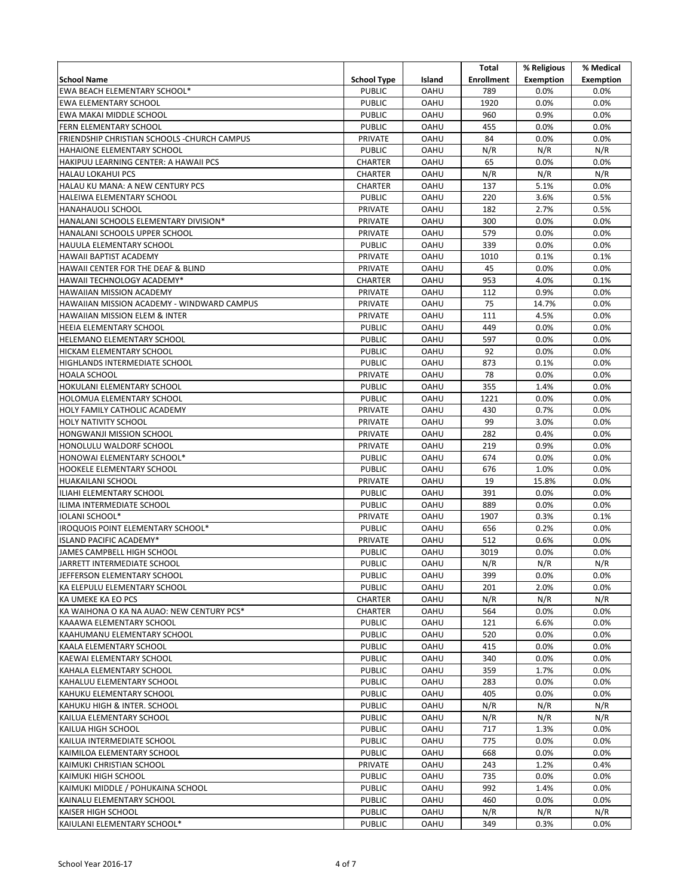|                                              |                    |             | Total             | % Religious      | % Medical        |
|----------------------------------------------|--------------------|-------------|-------------------|------------------|------------------|
| <b>School Name</b>                           | <b>School Type</b> | Island      | <b>Enrollment</b> | <b>Exemption</b> | <b>Exemption</b> |
| EWA BEACH ELEMENTARY SCHOOL*                 | <b>PUBLIC</b>      | <b>OAHU</b> | 789               | 0.0%             | 0.0%             |
| EWA ELEMENTARY SCHOOL                        | <b>PUBLIC</b>      | <b>OAHU</b> | 1920              | 0.0%             | 0.0%             |
| EWA MAKAI MIDDLE SCHOOL                      | <b>PUBLIC</b>      | <b>OAHU</b> | 960               | 0.9%             | 0.0%             |
| FERN ELEMENTARY SCHOOL                       | <b>PUBLIC</b>      | <b>OAHU</b> | 455               | 0.0%             | 0.0%             |
| FRIENDSHIP CHRISTIAN SCHOOLS - CHURCH CAMPUS | PRIVATE            | <b>OAHU</b> | 84                | 0.0%             | 0.0%             |
| HAHAIONE ELEMENTARY SCHOOL                   | <b>PUBLIC</b>      | <b>OAHU</b> | N/R               | N/R              | N/R              |
| HAKIPUU LEARNING CENTER: A HAWAII PCS        | CHARTER            | <b>OAHU</b> | 65                | 0.0%             | 0.0%             |
| <b>HALAU LOKAHUI PCS</b>                     | <b>CHARTER</b>     | <b>OAHU</b> | N/R               | N/R              | N/R              |
| HALAU KU MANA: A NEW CENTURY PCS             | <b>CHARTER</b>     | <b>OAHU</b> | 137               | 5.1%             | 0.0%             |
| HALEIWA ELEMENTARY SCHOOL                    | <b>PUBLIC</b>      | <b>OAHU</b> | 220               | 3.6%             | 0.5%             |
| HANAHAUOLI SCHOOL                            | <b>PRIVATE</b>     | <b>OAHU</b> | 182               | 2.7%             | 0.5%             |
| HANALANI SCHOOLS ELEMENTARY DIVISION*        | PRIVATE            | <b>OAHU</b> | 300               | 0.0%             | 0.0%             |
| HANALANI SCHOOLS UPPER SCHOOL                | PRIVATE            | <b>OAHU</b> | 579               | 0.0%             | 0.0%             |
| HAUULA ELEMENTARY SCHOOL                     | <b>PUBLIC</b>      | OAHU        | 339               | 0.0%             | 0.0%             |
| HAWAII BAPTIST ACADEMY                       | PRIVATE            | <b>OAHU</b> | 1010              | 0.1%             | 0.1%             |
| HAWAII CENTER FOR THE DEAF & BLIND           | PRIVATE            | <b>OAHU</b> | 45                | 0.0%             | 0.0%             |
| HAWAII TECHNOLOGY ACADEMY*                   | <b>CHARTER</b>     | <b>OAHU</b> | 953               | 4.0%             | 0.1%             |
| HAWAIIAN MISSION ACADEMY                     | PRIVATE            | <b>OAHU</b> | 112               | 0.9%             | 0.0%             |
| HAWAIIAN MISSION ACADEMY - WINDWARD CAMPUS   | PRIVATE            | <b>OAHU</b> | 75                | 14.7%            | 0.0%             |
| <b>HAWAIIAN MISSION ELEM &amp; INTER</b>     | PRIVATE            | <b>OAHU</b> | 111               | 4.5%             | 0.0%             |
| HEEIA ELEMENTARY SCHOOL                      | <b>PUBLIC</b>      | <b>OAHU</b> | 449               | 0.0%             | 0.0%             |
| HELEMANO ELEMENTARY SCHOOL                   | <b>PUBLIC</b>      | <b>OAHU</b> | 597               | 0.0%             | 0.0%             |
| HICKAM ELEMENTARY SCHOOL                     | <b>PUBLIC</b>      | <b>OAHU</b> | 92                | 0.0%             | 0.0%             |
| HIGHLANDS INTERMEDIATE SCHOOL                | <b>PUBLIC</b>      | <b>OAHU</b> | 873               | 0.1%             | 0.0%             |
| HOALA SCHOOL                                 | PRIVATE            | <b>OAHU</b> | 78                | 0.0%             | 0.0%             |
| HOKULANI ELEMENTARY SCHOOL                   | <b>PUBLIC</b>      | OAHU        | 355               | 1.4%             | 0.0%             |
| HOLOMUA ELEMENTARY SCHOOL                    | <b>PUBLIC</b>      | <b>OAHU</b> | 1221              | 0.0%             | 0.0%             |
| HOLY FAMILY CATHOLIC ACADEMY                 | PRIVATE            | <b>OAHU</b> | 430               | 0.7%             | 0.0%             |
| <b>HOLY NATIVITY SCHOOL</b>                  | PRIVATE            | <b>OAHU</b> | 99                | 3.0%             | 0.0%             |
| HONGWANJI MISSION SCHOOL                     | PRIVATE            | <b>OAHU</b> | 282               | 0.4%             | 0.0%             |
| HONOLULU WALDORF SCHOOL                      | PRIVATE            | <b>OAHU</b> | 219               | 0.9%             | 0.0%             |
| HONOWAI ELEMENTARY SCHOOL*                   | <b>PUBLIC</b>      | <b>OAHU</b> | 674               | 0.0%             | 0.0%             |
| HOOKELE ELEMENTARY SCHOOL                    | <b>PUBLIC</b>      | <b>OAHU</b> | 676               | 1.0%             | 0.0%             |
| HUAKAILANI SCHOOL                            | <b>PRIVATE</b>     | <b>OAHU</b> | 19                | 15.8%            | 0.0%             |
| ILIAHI ELEMENTARY SCHOOL                     | <b>PUBLIC</b>      | <b>OAHU</b> | 391               | 0.0%             | 0.0%             |
| ILIMA INTERMEDIATE SCHOOL                    | <b>PUBLIC</b>      | <b>OAHU</b> | 889               | 0.0%             | 0.0%             |
| IOLANI SCHOOL*                               | PRIVATE            | <b>OAHU</b> | 1907              | 0.3%             | 0.1%             |
| IROQUOIS POINT ELEMENTARY SCHOOL*            | <b>PUBLIC</b>      | <b>OAHU</b> | 656               | 0.2%             | 0.0%             |
| ISLAND PACIFIC ACADEMY*                      | <b>PRIVATE</b>     | <b>OAHU</b> | 512               | 0.6%             | 0.0%             |
| JAMES CAMPBELL HIGH SCHOOL                   | <b>PUBLIC</b>      | <b>OAHU</b> | 3019              | 0.0%             | 0.0%             |
| JARRETT INTERMEDIATE SCHOOL                  | <b>PUBLIC</b>      | <b>OAHU</b> | N/R               | N/R              | N/R              |
| JEFFERSON ELEMENTARY SCHOOL                  | <b>PUBLIC</b>      | <b>OAHU</b> | 399               | 0.0%             | 0.0%             |
| KA ELEPULU ELEMENTARY SCHOOL                 | <b>PUBLIC</b>      | <b>OAHU</b> | 201               | 2.0%             | 0.0%             |
| KA UMEKE KA EO PCS                           | CHARTER            | OAHU        | N/R               | N/R              | N/R              |
| KA WAIHONA O KA NA AUAO: NEW CENTURY PCS*    | CHARTER            | <b>OAHU</b> | 564               | 0.0%             | 0.0%             |
| KAAAWA ELEMENTARY SCHOOL                     | <b>PUBLIC</b>      | <b>OAHU</b> | 121               | 6.6%             | 0.0%             |
| KAAHUMANU ELEMENTARY SCHOOL                  | <b>PUBLIC</b>      | OAHU        | 520               | 0.0%             | 0.0%             |
| KAALA ELEMENTARY SCHOOL                      | <b>PUBLIC</b>      | <b>OAHU</b> | 415               | 0.0%             | 0.0%             |
| KAEWAI ELEMENTARY SCHOOL                     | <b>PUBLIC</b>      | OAHU        | 340               | 0.0%             | $0.0\%$          |
| KAHALA ELEMENTARY SCHOOL                     | <b>PUBLIC</b>      | <b>OAHU</b> | 359               | 1.7%             | 0.0%             |
| KAHALUU ELEMENTARY SCHOOL                    | <b>PUBLIC</b>      | <b>OAHU</b> | 283               | 0.0%             | $0.0\%$          |
| KAHUKU ELEMENTARY SCHOOL                     | <b>PUBLIC</b>      | <b>OAHU</b> | 405               | 0.0%             | 0.0%             |
| KAHUKU HIGH & INTER. SCHOOL                  | <b>PUBLIC</b>      | OAHU        | N/R               | N/R              | N/R              |
| KAILUA ELEMENTARY SCHOOL                     | <b>PUBLIC</b>      | OAHU        | N/R               | N/R              | N/R              |
| KAILUA HIGH SCHOOL                           | <b>PUBLIC</b>      | <b>OAHU</b> | 717               | 1.3%             | 0.0%             |
| KAILUA INTERMEDIATE SCHOOL                   | <b>PUBLIC</b>      | OAHU        | 775               | 0.0%             | 0.0%             |
| KAIMILOA ELEMENTARY SCHOOL                   | <b>PUBLIC</b>      | OAHU        | 668               | 0.0%             | 0.0%             |
| KAIMUKI CHRISTIAN SCHOOL                     | PRIVATE            | <b>OAHU</b> | 243               | 1.2%             | 0.4%             |
| KAIMUKI HIGH SCHOOL                          | <b>PUBLIC</b>      | OAHU        | 735               | 0.0%             | 0.0%             |
| KAIMUKI MIDDLE / POHUKAINA SCHOOL            | <b>PUBLIC</b>      | OAHU        | 992               | 1.4%             | 0.0%             |
| KAINALU ELEMENTARY SCHOOL                    | <b>PUBLIC</b>      | OAHU        | 460               | 0.0%             | 0.0%             |
| KAISER HIGH SCHOOL                           | <b>PUBLIC</b>      | OAHU        | N/R               | N/R              | N/R              |
| KAIULANI ELEMENTARY SCHOOL*                  | <b>PUBLIC</b>      | <b>OAHU</b> | 349               | 0.3%             | 0.0%             |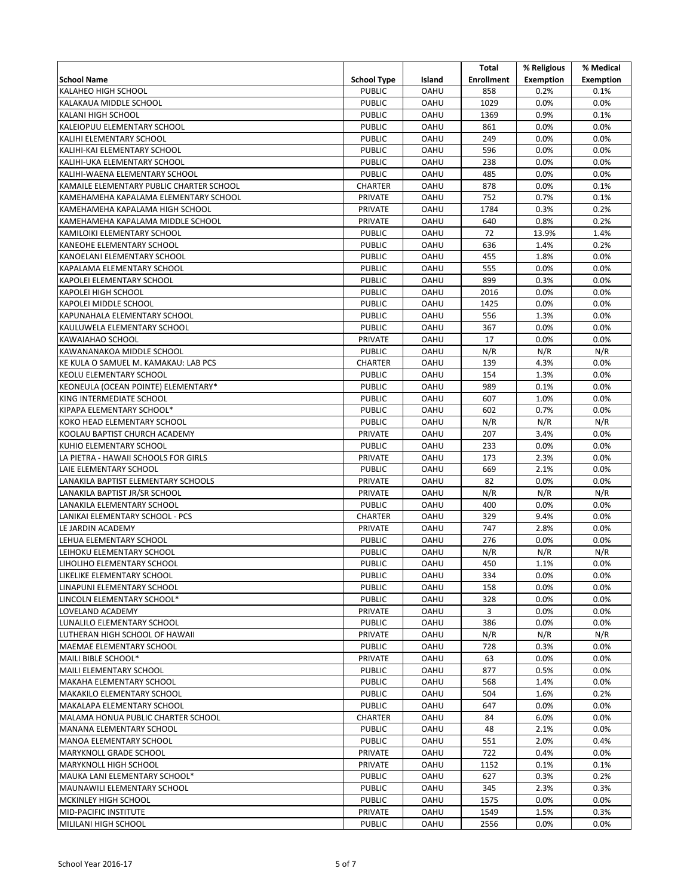|                                                                 |                          |                            | Total             | % Religious      | % Medical        |
|-----------------------------------------------------------------|--------------------------|----------------------------|-------------------|------------------|------------------|
| <b>School Name</b>                                              | <b>School Type</b>       | Island                     | <b>Enrollment</b> | <b>Exemption</b> | <b>Exemption</b> |
| <b>KALAHEO HIGH SCHOOL</b>                                      | <b>PUBLIC</b>            | <b>OAHU</b>                | 858               | 0.2%             | 0.1%             |
| KALAKAUA MIDDLE SCHOOL                                          | <b>PUBLIC</b>            | <b>OAHU</b>                | 1029              | 0.0%             | 0.0%             |
| KALANI HIGH SCHOOL                                              | <b>PUBLIC</b>            | <b>OAHU</b>                | 1369              | 0.9%             | 0.1%             |
| KALEIOPUU ELEMENTARY SCHOOL                                     | <b>PUBLIC</b>            | <b>OAHU</b>                | 861               | 0.0%             | 0.0%             |
| KALIHI ELEMENTARY SCHOOL                                        | <b>PUBLIC</b>            | <b>OAHU</b>                | 249               | 0.0%             | 0.0%             |
| KALIHI-KAI ELEMENTARY SCHOOL                                    | <b>PUBLIC</b>            | <b>OAHU</b>                | 596               | 0.0%             | 0.0%             |
| KALIHI-UKA ELEMENTARY SCHOOL                                    | <b>PUBLIC</b>            | <b>OAHU</b>                | 238               | 0.0%             | 0.0%             |
| KALIHI-WAENA ELEMENTARY SCHOOL                                  | <b>PUBLIC</b>            | <b>OAHU</b>                | 485               | 0.0%             | 0.0%             |
| KAMAILE ELEMENTARY PUBLIC CHARTER SCHOOL                        | <b>CHARTER</b>           | <b>OAHU</b>                | 878               | 0.0%             | 0.1%             |
| KAMEHAMEHA KAPALAMA ELEMENTARY SCHOOL                           | PRIVATE                  | <b>OAHU</b>                | 752               | 0.7%             | 0.1%             |
| KAMEHAMEHA KAPALAMA HIGH SCHOOL                                 | PRIVATE                  | <b>OAHU</b>                | 1784              | 0.3%             | 0.2%             |
| KAMEHAMEHA KAPALAMA MIDDLE SCHOOL                               | PRIVATE                  | <b>OAHU</b>                | 640               | 0.8%             | 0.2%             |
| KAMILOIKI ELEMENTARY SCHOOL                                     | <b>PUBLIC</b>            | OAHU                       | 72                | 13.9%            | 1.4%             |
| KANEOHE ELEMENTARY SCHOOL                                       | <b>PUBLIC</b>            | OAHU                       | 636               | 1.4%             | 0.2%             |
| KANOELANI ELEMENTARY SCHOOL                                     | <b>PUBLIC</b>            | <b>OAHU</b>                | 455               | 1.8%             | 0.0%             |
| KAPALAMA ELEMENTARY SCHOOL                                      | <b>PUBLIC</b>            | <b>OAHU</b>                | 555               | 0.0%             | 0.0%             |
| KAPOLEI ELEMENTARY SCHOOL                                       | <b>PUBLIC</b>            | <b>OAHU</b>                | 899               | 0.3%             | 0.0%             |
| KAPOLEI HIGH SCHOOL                                             | <b>PUBLIC</b>            | OAHU                       | 2016              | 0.0%             | 0.0%             |
| KAPOLEI MIDDLE SCHOOL                                           | <b>PUBLIC</b>            | <b>OAHU</b>                | 1425              | 0.0%             | 0.0%             |
| KAPUNAHALA ELEMENTARY SCHOOL                                    | <b>PUBLIC</b>            | <b>OAHU</b>                | 556               | 1.3%             | 0.0%             |
| KAULUWELA ELEMENTARY SCHOOL                                     | <b>PUBLIC</b>            | <b>OAHU</b>                | 367               | 0.0%             | 0.0%             |
| KAWAIAHAO SCHOOL                                                | <b>PRIVATE</b>           | <b>OAHU</b>                | 17                | 0.0%             | 0.0%             |
| KAWANANAKOA MIDDLE SCHOOL                                       | <b>PUBLIC</b>            | <b>OAHU</b>                | N/R               | N/R              | N/R              |
| KE KULA O SAMUEL M. KAMAKAU: LAB PCS                            | <b>CHARTER</b>           | <b>OAHU</b>                | 139               | 4.3%             | 0.0%             |
| <b>KEOLU ELEMENTARY SCHOOL</b>                                  | <b>PUBLIC</b>            | <b>OAHU</b>                | 154               | 1.3%             | 0.0%             |
| KEONEULA (OCEAN POINTE) ELEMENTARY*                             | <b>PUBLIC</b>            | <b>OAHU</b>                | 989               | 0.1%             | 0.0%             |
| KING INTERMEDIATE SCHOOL                                        | <b>PUBLIC</b>            | <b>OAHU</b>                | 607               | 1.0%             | 0.0%             |
| KIPAPA ELEMENTARY SCHOOL*                                       | <b>PUBLIC</b>            | <b>OAHU</b>                | 602               | 0.7%             | 0.0%             |
| KOKO HEAD ELEMENTARY SCHOOL                                     | <b>PUBLIC</b>            | <b>OAHU</b>                | N/R               | N/R              | N/R              |
| KOOLAU BAPTIST CHURCH ACADEMY                                   | PRIVATE                  | <b>OAHU</b>                | 207               | 3.4%             | 0.0%             |
| KUHIO ELEMENTARY SCHOOL<br>LA PIETRA - HAWAII SCHOOLS FOR GIRLS | <b>PUBLIC</b>            | <b>OAHU</b><br><b>OAHU</b> | 233<br>173        | 0.0%<br>2.3%     | 0.0%<br>0.0%     |
| LAIE ELEMENTARY SCHOOL                                          | PRIVATE<br><b>PUBLIC</b> | <b>OAHU</b>                | 669               | 2.1%             | 0.0%             |
| LANAKILA BAPTIST ELEMENTARY SCHOOLS                             | <b>PRIVATE</b>           | <b>OAHU</b>                | 82                | 0.0%             | 0.0%             |
| LANAKILA BAPTIST JR/SR SCHOOL                                   | PRIVATE                  | <b>OAHU</b>                | N/R               | N/R              | N/R              |
| LANAKILA ELEMENTARY SCHOOL                                      | <b>PUBLIC</b>            | <b>OAHU</b>                | 400               | 0.0%             | 0.0%             |
| LANIKAI ELEMENTARY SCHOOL - PCS                                 | <b>CHARTER</b>           | OAHU                       | 329               | 9.4%             | 0.0%             |
| LE JARDIN ACADEMY                                               | <b>PRIVATE</b>           | <b>OAHU</b>                | 747               | 2.8%             | 0.0%             |
| LEHUA ELEMENTARY SCHOOL                                         | <b>PUBLIC</b>            | <b>OAHU</b>                | 276               | 0.0%             | 0.0%             |
| LEIHOKU ELEMENTARY SCHOOL                                       | <b>PUBLIC</b>            | <b>OAHU</b>                | N/R               | N/R              | N/R              |
| LIHOLIHO ELEMENTARY SCHOOL                                      | <b>PUBLIC</b>            | OAHU                       | 450               | 1.1%             | 0.0%             |
| LIKELIKE ELEMENTARY SCHOOL                                      | <b>PUBLIC</b>            | OAHU                       | 334               | 0.0%             | 0.0%             |
| LINAPUNI ELEMENTARY SCHOOL                                      | <b>PUBLIC</b>            | <b>OAHU</b>                | 158               | 0.0%             | 0.0%             |
| LINCOLN ELEMENTARY SCHOOL*                                      | <b>PUBLIC</b>            | OAHU                       | 328               | 0.0%             | 0.0%             |
| LOVELAND ACADEMY                                                | PRIVATE                  | <b>OAHU</b>                | 3                 | 0.0%             | 0.0%             |
| LUNALILO ELEMENTARY SCHOOL                                      | <b>PUBLIC</b>            | OAHU                       | 386               | 0.0%             | 0.0%             |
| LUTHERAN HIGH SCHOOL OF HAWAII                                  | PRIVATE                  | <b>OAHU</b>                | N/R               | N/R              | N/R              |
| MAEMAE ELEMENTARY SCHOOL                                        | <b>PUBLIC</b>            | <b>OAHU</b>                | 728               | 0.3%             | $0.0\%$          |
| MAILI BIBLE SCHOOL*                                             | PRIVATE                  | OAHU                       | 63                | $0.0\%$          | $0.0\%$          |
| MAILI ELEMENTARY SCHOOL                                         | <b>PUBLIC</b>            | <b>OAHU</b>                | 877               | 0.5%             | 0.0%             |
| MAKAHA ELEMENTARY SCHOOL                                        | <b>PUBLIC</b>            | <b>OAHU</b>                | 568               | 1.4%             | $0.0\%$          |
| MAKAKILO ELEMENTARY SCHOOL                                      | <b>PUBLIC</b>            | <b>OAHU</b>                | 504               | 1.6%             | 0.2%             |
| MAKALAPA ELEMENTARY SCHOOL                                      | <b>PUBLIC</b>            | OAHU                       | 647               | 0.0%             | $0.0\%$          |
| MALAMA HONUA PUBLIC CHARTER SCHOOL                              | CHARTER                  | <b>OAHU</b>                | 84                | 6.0%             | $0.0\%$          |
| MANANA ELEMENTARY SCHOOL                                        | <b>PUBLIC</b>            | OAHU                       | 48                | 2.1%             | $0.0\%$          |
| MANOA ELEMENTARY SCHOOL                                         | <b>PUBLIC</b>            | OAHU                       | 551               | 2.0%             | 0.4%             |
| <b>MARYKNOLL GRADE SCHOOL</b>                                   | PRIVATE                  | OAHU                       | 722               | 0.4%             | $0.0\%$          |
| <b>MARYKNOLL HIGH SCHOOL</b>                                    | PRIVATE                  | <b>OAHU</b>                | 1152              | 0.1%             | 0.1%             |
| MAUKA LANI ELEMENTARY SCHOOL*                                   | <b>PUBLIC</b>            | OAHU                       | 627               | 0.3%             | 0.2%             |
| MAUNAWILI ELEMENTARY SCHOOL                                     | <b>PUBLIC</b>            | OAHU                       | 345               | 2.3%             | 0.3%             |
| <b>MCKINLEY HIGH SCHOOL</b>                                     | <b>PUBLIC</b>            | OAHU                       | 1575              | 0.0%             | 0.0%             |
| <b>MID-PACIFIC INSTITUTE</b>                                    | PRIVATE                  | OAHU                       | 1549              | 1.5%             | 0.3%             |
| MILILANI HIGH SCHOOL                                            | <b>PUBLIC</b>            | OAHU                       | 2556              | 0.0%             | 0.0%             |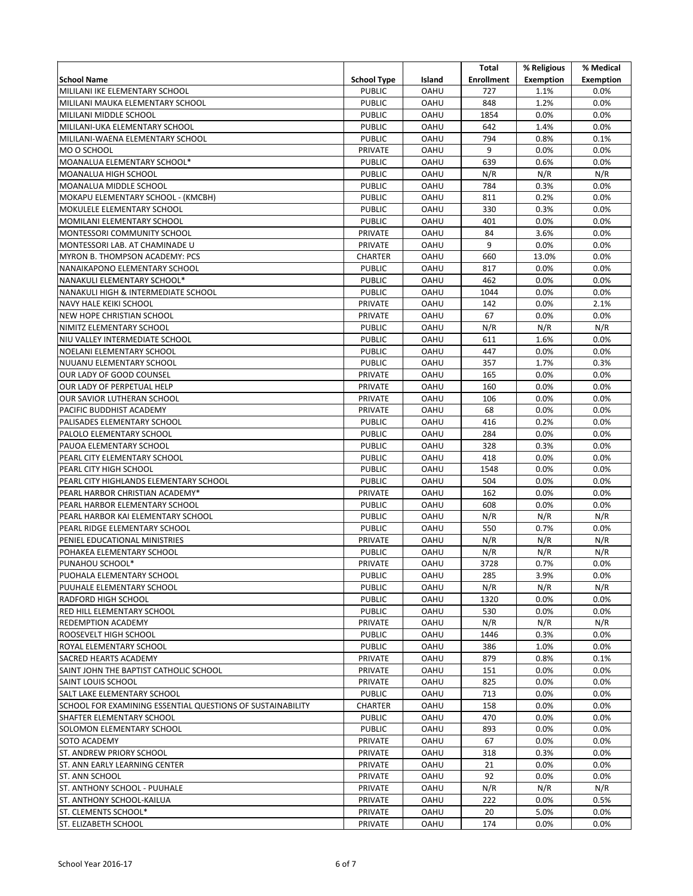|                                                            |                    |             | Total             | % Religious      | % Medical        |
|------------------------------------------------------------|--------------------|-------------|-------------------|------------------|------------------|
| <b>School Name</b>                                         | <b>School Type</b> | Island      | <b>Enrollment</b> | <b>Exemption</b> | <b>Exemption</b> |
| MILILANI IKE ELEMENTARY SCHOOL                             | <b>PUBLIC</b>      | <b>OAHU</b> | 727               | 1.1%             | 0.0%             |
| MILILANI MAUKA ELEMENTARY SCHOOL                           | <b>PUBLIC</b>      | <b>OAHU</b> | 848               | 1.2%             | 0.0%             |
| MILILANI MIDDLE SCHOOL                                     | <b>PUBLIC</b>      | <b>OAHU</b> | 1854              | 0.0%             | 0.0%             |
| MILILANI-UKA ELEMENTARY SCHOOL                             | <b>PUBLIC</b>      | <b>OAHU</b> | 642               | 1.4%             | 0.0%             |
| MILILANI-WAENA ELEMENTARY SCHOOL                           | <b>PUBLIC</b>      | <b>OAHU</b> | 794               | 0.8%             | 0.1%             |
| MO O SCHOOL                                                | PRIVATE            | <b>OAHU</b> | 9                 | 0.0%             | 0.0%             |
| MOANALUA ELEMENTARY SCHOOL*                                | <b>PUBLIC</b>      | <b>OAHU</b> | 639               | 0.6%             | 0.0%             |
| MOANALUA HIGH SCHOOL                                       | <b>PUBLIC</b>      | <b>OAHU</b> | N/R               | N/R              | N/R              |
| MOANALUA MIDDLE SCHOOL                                     | <b>PUBLIC</b>      | <b>OAHU</b> | 784               | 0.3%             | 0.0%             |
| MOKAPU ELEMENTARY SCHOOL - (KMCBH)                         | <b>PUBLIC</b>      | <b>OAHU</b> | 811               | 0.2%             | 0.0%             |
| MOKULELE ELEMENTARY SCHOOL                                 | <b>PUBLIC</b>      | <b>OAHU</b> | 330               | 0.3%             | 0.0%             |
| MOMILANI ELEMENTARY SCHOOL                                 | <b>PUBLIC</b>      | <b>OAHU</b> | 401               | 0.0%             | 0.0%             |
| MONTESSORI COMMUNITY SCHOOL                                | PRIVATE            | <b>OAHU</b> | 84                | 3.6%             | 0.0%             |
| MONTESSORI LAB. AT CHAMINADE U                             | PRIVATE            | <b>OAHU</b> | 9                 | 0.0%             | 0.0%             |
| MYRON B. THOMPSON ACADEMY: PCS                             | <b>CHARTER</b>     | <b>OAHU</b> | 660               | 13.0%            | 0.0%             |
| NANAIKAPONO ELEMENTARY SCHOOL                              | <b>PUBLIC</b>      | <b>OAHU</b> | 817               | 0.0%             | 0.0%             |
| NANAKULI ELEMENTARY SCHOOL*                                |                    | <b>OAHU</b> | 462               | 0.0%             | 0.0%             |
|                                                            | <b>PUBLIC</b>      | <b>OAHU</b> |                   |                  |                  |
| NANAKULI HIGH & INTERMEDIATE SCHOOL                        | <b>PUBLIC</b>      |             | 1044              | 0.0%             | 0.0%             |
| NAVY HALE KEIKI SCHOOL                                     | <b>PRIVATE</b>     | <b>OAHU</b> | 142<br>67         | 0.0%             | 2.1%             |
| NEW HOPE CHRISTIAN SCHOOL                                  | <b>PRIVATE</b>     | <b>OAHU</b> |                   | 0.0%             | 0.0%             |
| NIMITZ ELEMENTARY SCHOOL                                   | <b>PUBLIC</b>      | <b>OAHU</b> | N/R               | N/R              | N/R              |
| NIU VALLEY INTERMEDIATE SCHOOL                             | <b>PUBLIC</b>      | <b>OAHU</b> | 611               | 1.6%             | 0.0%             |
| NOELANI ELEMENTARY SCHOOL                                  | <b>PUBLIC</b>      | <b>OAHU</b> | 447               | 0.0%             | 0.0%             |
| NUUANU ELEMENTARY SCHOOL                                   | <b>PUBLIC</b>      | <b>OAHU</b> | 357               | 1.7%             | 0.3%             |
| OUR LADY OF GOOD COUNSEL                                   | PRIVATE            | <b>OAHU</b> | 165               | 0.0%             | 0.0%             |
| OUR LADY OF PERPETUAL HELP                                 | PRIVATE            | <b>OAHU</b> | 160               | 0.0%             | 0.0%             |
| OUR SAVIOR LUTHERAN SCHOOL                                 | PRIVATE            | <b>OAHU</b> | 106               | 0.0%             | 0.0%             |
| PACIFIC BUDDHIST ACADEMY                                   | PRIVATE            | <b>OAHU</b> | 68                | 0.0%             | 0.0%             |
| PALISADES ELEMENTARY SCHOOL                                | <b>PUBLIC</b>      | <b>OAHU</b> | 416               | 0.2%             | 0.0%             |
| PALOLO ELEMENTARY SCHOOL                                   | <b>PUBLIC</b>      | <b>OAHU</b> | 284               | 0.0%             | 0.0%             |
| PAUOA ELEMENTARY SCHOOL                                    | <b>PUBLIC</b>      | <b>OAHU</b> | 328               | 0.3%             | 0.0%             |
| PEARL CITY ELEMENTARY SCHOOL                               | <b>PUBLIC</b>      | <b>OAHU</b> | 418               | 0.0%             | 0.0%             |
| PEARL CITY HIGH SCHOOL                                     | <b>PUBLIC</b>      | <b>OAHU</b> | 1548              | 0.0%             | 0.0%             |
| PEARL CITY HIGHLANDS ELEMENTARY SCHOOL                     | <b>PUBLIC</b>      | <b>OAHU</b> | 504               | 0.0%             | 0.0%             |
| PEARL HARBOR CHRISTIAN ACADEMY*                            | <b>PRIVATE</b>     | <b>OAHU</b> | 162               | 0.0%             | 0.0%             |
| PEARL HARBOR ELEMENTARY SCHOOL                             | <b>PUBLIC</b>      | <b>OAHU</b> | 608               | 0.0%             | 0.0%             |
| PEARL HARBOR KAI ELEMENTARY SCHOOL                         | <b>PUBLIC</b>      | <b>OAHU</b> | N/R               | N/R              | N/R              |
| PEARL RIDGE ELEMENTARY SCHOOL                              | <b>PUBLIC</b>      | <b>OAHU</b> | 550               | 0.7%             | 0.0%             |
| PENIEL EDUCATIONAL MINISTRIES                              | PRIVATE            | <b>OAHU</b> | N/R               | N/R              | N/R              |
| POHAKEA ELEMENTARY SCHOOL                                  | <b>PUBLIC</b>      | <b>OAHU</b> | N/R               | N/R              | N/R              |
| PUNAHOU SCHOOL*                                            | <b>PRIVATE</b>     | <b>OAHU</b> | 3728              | 0.7%             | 0.0%             |
| PUOHALA ELEMENTARY SCHOOL                                  | <b>PUBLIC</b>      | <b>OAHU</b> | 285               | 3.9%             | 0.0%             |
| PUUHALE ELEMENTARY SCHOOL                                  | <b>PUBLIC</b>      | <b>OAHU</b> | N/R               | N/R              | N/R              |
| RADFORD HIGH SCHOOL                                        | <b>PUBLIC</b>      | <b>OAHU</b> | 1320              | 0.0%             | $0.0\%$          |
| RED HILL ELEMENTARY SCHOOL                                 | <b>PUBLIC</b>      | <b>OAHU</b> | 530               | 0.0%             | 0.0%             |
| REDEMPTION ACADEMY                                         | PRIVATE            | OAHU        | N/R               | N/R              | N/R              |
| ROOSEVELT HIGH SCHOOL                                      | <b>PUBLIC</b>      | <b>OAHU</b> | 1446              | 0.3%             | 0.0%             |
| ROYAL ELEMENTARY SCHOOL                                    | <b>PUBLIC</b>      | <b>OAHU</b> | 386               | 1.0%             | 0.0%             |
| SACRED HEARTS ACADEMY                                      | PRIVATE            | <b>OAHU</b> | 879               | 0.8%             | 0.1%             |
| SAINT JOHN THE BAPTIST CATHOLIC SCHOOL                     | PRIVATE            | <b>OAHU</b> | 151               | 0.0%             | 0.0%             |
| SAINT LOUIS SCHOOL                                         | PRIVATE            | <b>OAHU</b> | 825               | 0.0%             | 0.0%             |
| SALT LAKE ELEMENTARY SCHOOL                                | <b>PUBLIC</b>      | OAHU        | 713               | 0.0%             | 0.0%             |
| SCHOOL FOR EXAMINING ESSENTIAL QUESTIONS OF SUSTAINABILITY | <b>CHARTER</b>     | OAHU        | 158               | 0.0%             | 0.0%             |
| SHAFTER ELEMENTARY SCHOOL                                  | <b>PUBLIC</b>      | <b>OAHU</b> | 470               | 0.0%             | 0.0%             |
| SOLOMON ELEMENTARY SCHOOL                                  | <b>PUBLIC</b>      | <b>OAHU</b> | 893               | 0.0%             | 0.0%             |
| SOTO ACADEMY                                               | PRIVATE            | OAHU        | 67                | 0.0%             | 0.0%             |
| ST. ANDREW PRIORY SCHOOL                                   | PRIVATE            | OAHU        | 318               | 0.3%             | $0.0\%$          |
| ST. ANN EARLY LEARNING CENTER                              | PRIVATE            | <b>OAHU</b> | 21                | 0.0%             | 0.0%             |
| ST. ANN SCHOOL                                             | PRIVATE            | <b>OAHU</b> | 92                | 0.0%             | 0.0%             |
| ST. ANTHONY SCHOOL - PUUHALE                               | PRIVATE            | <b>OAHU</b> | N/R               | N/R              | N/R              |
| ST. ANTHONY SCHOOL-KAILUA                                  | PRIVATE            | OAHU        | 222               | 0.0%             | 0.5%             |
| ST. CLEMENTS SCHOOL*                                       | PRIVATE            | OAHU        | 20                | 5.0%             | 0.0%             |
| ST. ELIZABETH SCHOOL                                       | PRIVATE            | OAHU        | 174               | $0.0\%$          | $0.0\%$          |